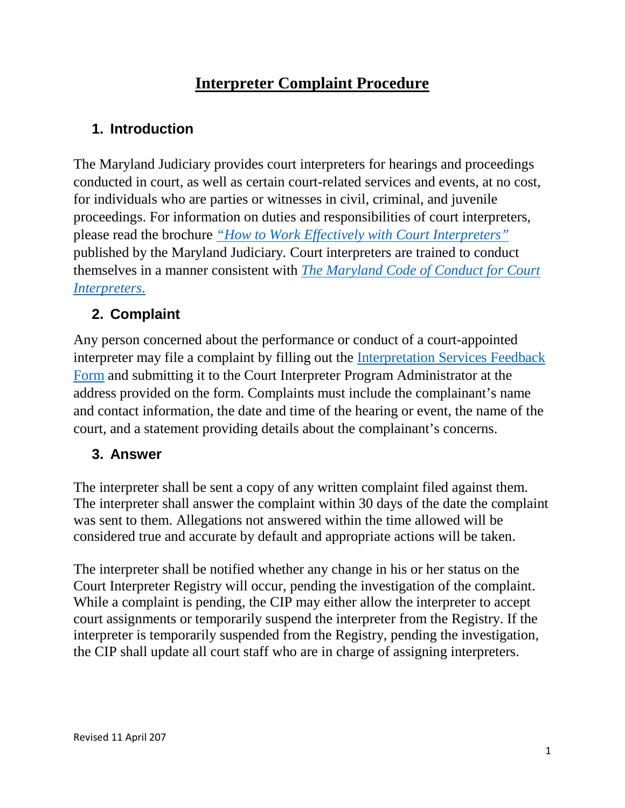# **Interpreter Complaint Procedure**

# **1. Introduction**

The Maryland Judiciary provides court interpreters for hearings and proceedings conducted in court, as well as certain court-related services and events, at no cost, for individuals who are parties or witnesses in civil, criminal, and juvenile proceedings. For information on duties and responsibilities of court interpreters, please read the brochure *["How to Work Effectively with Court Interpreters"](http://mdcourts.gov/courtforms/joint/ccdc081br.pdf)* published by the Maryland Judiciary*.* Court interpreters are trained to conduct themselves in a manner consistent with *The [Maryland Code of Conduct for Court](https://govt.westlaw.com/mdc/Browse/Home/Maryland/MarylandCodeCourtRules?guid=N6795B7709CCF11DB9BCF9DAC28345A2A&originationContext=documenttoc&transitionType=Default&contextData=(sc.Default))  [Interpreters](https://govt.westlaw.com/mdc/Browse/Home/Maryland/MarylandCodeCourtRules?guid=N6795B7709CCF11DB9BCF9DAC28345A2A&originationContext=documenttoc&transitionType=Default&contextData=(sc.Default))*.

### **2. Complaint**

Any person concerned about the performance or conduct of a court-appointed interpreter may file a complaint by filling out the [Interpretation Services Feedback](http://mdcourts.gov/courts/pdfs/interpretationservicesfeedbackform.pdf)  [Form](http://mdcourts.gov/courts/pdfs/interpretationservicesfeedbackform.pdf) and submitting it to the Court Interpreter Program Administrator at the address provided on the form. Complaints must include the complainant's name and contact information, the date and time of the hearing or event, the name of the court, and a statement providing details about the complainant's concerns.

#### **3. Answer**

The interpreter shall be sent a copy of any written complaint filed against them. The interpreter shall answer the complaint within 30 days of the date the complaint was sent to them. Allegations not answered within the time allowed will be considered true and accurate by default and appropriate actions will be taken.

The interpreter shall be notified whether any change in his or her status on the Court Interpreter Registry will occur, pending the investigation of the complaint. While a complaint is pending, the CIP may either allow the interpreter to accept court assignments or temporarily suspend the interpreter from the Registry. If the interpreter is temporarily suspended from the Registry, pending the investigation, the CIP shall update all court staff who are in charge of assigning interpreters.